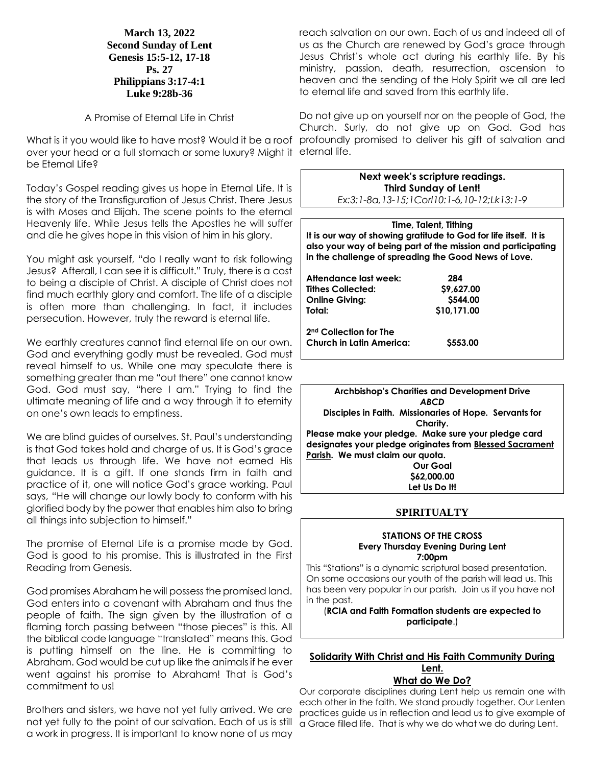**March 13, 2022 Second Sunday of Lent Genesis 15:5-12, 17-18 Ps. 27 Philippians 3:17-4:1 Luke 9:28b-36**

## A Promise of Eternal Life in Christ

What is it you would like to have most? Would it be a roof profoundly promised to deliver his gift of salvation and over your head or a full stomach or some luxury? Might it eternal life. be Fternal Life?

Today's Gospel reading gives us hope in Eternal Life. It is the story of the Transfiguration of Jesus Christ. There Jesus is with Moses and Elijah. The scene points to the eternal Heavenly life. While Jesus tells the Apostles he will suffer and die he gives hope in this vision of him in his glory.

You might ask yourself, "do I really want to risk following Jesus? Afterall, I can see it is difficult." Truly, there is a cost to being a disciple of Christ. A disciple of Christ does not find much earthly glory and comfort. The life of a disciple is often more than challenging. In fact, it includes persecution. However, truly the reward is eternal life.

We earthly creatures cannot find eternal life on our own. God and everything godly must be revealed. God must reveal himself to us. While one may speculate there is something greater than me "out there" one cannot know God. God must say, "here I am." Trying to find the ultimate meaning of life and a way through it to eternity on one's own leads to emptiness.

We are blind guides of ourselves. St. Paul's understanding is that God takes hold and charge of us. It is God's grace that leads us through life. We have not earned His guidance. It is a gift. If one stands firm in faith and practice of it, one will notice God's grace working. Paul says, "He will change our lowly body to conform with his glorified body by the power that enables him also to bring all things into subjection to himself."

The promise of Eternal Life is a promise made by God. God is good to his promise. This is illustrated in the First Reading from Genesis.

God promises Abraham he will possess the promised land. God enters into a covenant with Abraham and thus the people of faith. The sign given by the illustration of a flaming torch passing between "those pieces" is this. All the biblical code language "translated" means this. God is putting himself on the line. He is committing to Abraham. God would be cut up like the animals if he ever went against his promise to Abraham! That is God's commitment to us!

Brothers and sisters, we have not yet fully arrived. We are not yet fully to the point of our salvation. Each of us is still a work in progress. It is important to know none of us may

reach salvation on our own. Each of us and indeed all of us as the Church are renewed by God's grace through Jesus Christ's whole act during his earthly life. By his ministry, passion, death, resurrection, ascension to heaven and the sending of the Holy Spirit we all are led to eternal life and saved from this earthly life.

Do not give up on yourself nor on the people of God, the Church. Surly, do not give up on God. God has

| Next week's scripture readings.            |  |  |  |
|--------------------------------------------|--|--|--|
| <b>Third Sunday of Lent!</b>               |  |  |  |
| Ex:3:1-8a,13-15;1Corl10:1-6,10-12;Lk13:1-9 |  |  |  |

**Time, Talent, Tithing It is our way of showing gratitude to God for life itself. It is also your way of being part of the mission and participating in the challenge of spreading the Good News of Love.**

| Attendance last week:              | 284         |
|------------------------------------|-------------|
| <b>Tithes Collected:</b>           | \$9,627.00  |
| <b>Online Giving:</b>              | \$544.00    |
| Total:                             | \$10,171.00 |
| 2 <sup>nd</sup> Collection for The |             |
| <b>Church in Latin America:</b>    | \$553.00    |

**Archbishop's Charities and Development Drive** *ABCD* **Disciples in Faith. Missionaries of Hope. Servants for Charity. Please make your pledge. Make sure your pledge card designates your pledge originates from Blessed Sacrament Parish. We must claim our quota. Our Goal \$62,000.00**

# **SPIRITUALTY**

**Let Us Do It!**

#### **STATIONS OF THE CROSS Every Thursday Evening During Lent 7:00pm**

This "Stations" is a dynamic scriptural based presentation. On some occasions our youth of the parish will lead us. This has been very popular in our parish. Join us if you have not in the past.

(**RCIA and Faith Formation students are expected to participate**.)

### **Solidarity With Christ and His Faith Community During Lent. What do We Do?**

Our corporate disciplines during Lent help us remain one with each other in the faith. We stand proudly together. Our Lenten practices guide us in reflection and lead us to give example of a Grace filled life. That is why we do what we do during Lent.